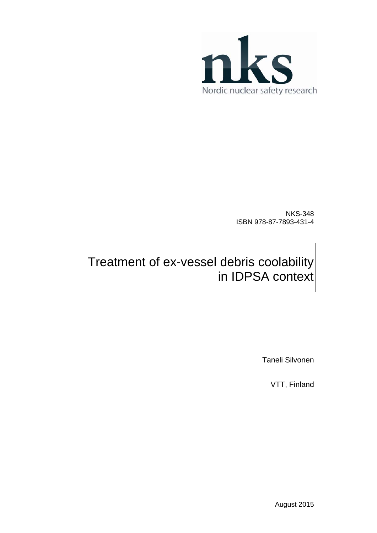

NKS-348 ISBN 978-87-7893-431-4

## Treatment of ex-vessel debris coolability in IDPSA context

Taneli Silvonen

VTT, Finland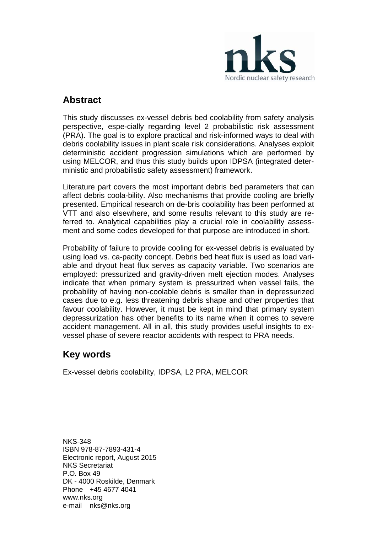

## **Abstract**

This study discusses ex-vessel debris bed coolability from safety analysis perspective, espe-cially regarding level 2 probabilistic risk assessment (PRA). The goal is to explore practical and risk-informed ways to deal with debris coolability issues in plant scale risk considerations. Analyses exploit deterministic accident progression simulations which are performed by using MELCOR, and thus this study builds upon IDPSA (integrated deterministic and probabilistic safety assessment) framework.

Literature part covers the most important debris bed parameters that can affect debris coola-bility. Also mechanisms that provide cooling are briefly presented. Empirical research on de-bris coolability has been performed at VTT and also elsewhere, and some results relevant to this study are referred to. Analytical capabilities play a crucial role in coolability assessment and some codes developed for that purpose are introduced in short.

Probability of failure to provide cooling for ex-vessel debris is evaluated by using load vs. ca-pacity concept. Debris bed heat flux is used as load variable and dryout heat flux serves as capacity variable. Two scenarios are employed: pressurized and gravity-driven melt ejection modes. Analyses indicate that when primary system is pressurized when vessel fails, the probability of having non-coolable debris is smaller than in depressurized cases due to e.g. less threatening debris shape and other properties that favour coolability. However, it must be kept in mind that primary system depressurization has other benefits to its name when it comes to severe accident management. All in all, this study provides useful insights to exvessel phase of severe reactor accidents with respect to PRA needs.

## **Key words**

Ex-vessel debris coolability, IDPSA, L2 PRA, MELCOR

NKS-348 ISBN 978-87-7893-431-4 Electronic report, August 2015 NKS Secretariat P.O. Box 49 DK - 4000 Roskilde, Denmark Phone +45 4677 4041 www.nks.org e-mail nks@nks.org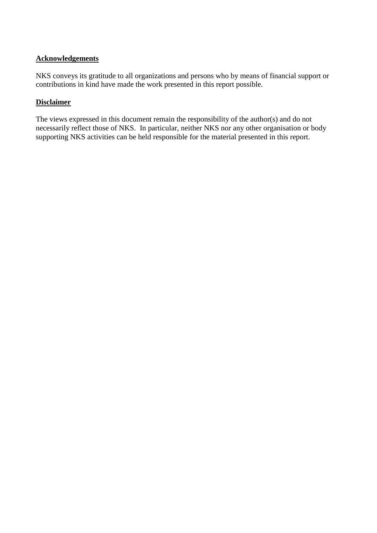### **Acknowledgements**

NKS conveys its gratitude to all organizations and persons who by means of financial support or contributions in kind have made the work presented in this report possible.

#### **Disclaimer**

The views expressed in this document remain the responsibility of the author(s) and do not necessarily reflect those of NKS. In particular, neither NKS nor any other organisation or body supporting NKS activities can be held responsible for the material presented in this report.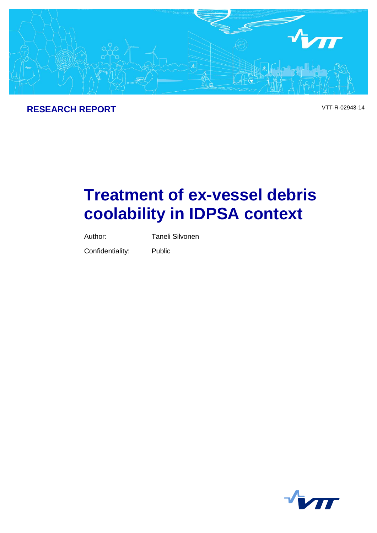

## **RESEARCH REPORT** VTT-R-02943-14

# **Treatment of ex-vessel debris coolability in IDPSA context**

Author: Taneli Silvonen

Confidentiality: Public

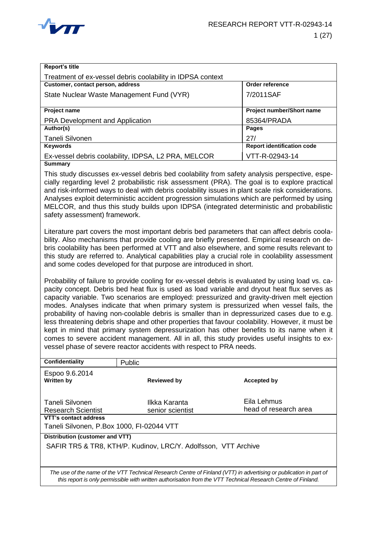

| <b>Report's title</b>                                      |                                   |
|------------------------------------------------------------|-----------------------------------|
| Treatment of ex-vessel debris coolability in IDPSA context |                                   |
| Customer, contact person, address                          | Order reference                   |
| State Nuclear Waste Management Fund (VYR)                  | 7/2011SAF                         |
|                                                            |                                   |
| <b>Project name</b>                                        | Project number/Short name         |
| <b>PRA Development and Application</b>                     | 85364/PRADA                       |
| Author(s)                                                  | <b>Pages</b>                      |
| <b>Taneli Silvonen</b>                                     | 27/                               |
| <b>Keywords</b>                                            | <b>Report identification code</b> |
| Ex-vessel debris coolability, IDPSA, L2 PRA, MELCOR        | VTT-R-02943-14                    |
| <b>Summary</b>                                             |                                   |

This study discusses ex-vessel debris bed coolability from safety analysis perspective, especially regarding level 2 probabilistic risk assessment (PRA). The goal is to explore practical and risk-informed ways to deal with debris coolability issues in plant scale risk considerations. Analyses exploit deterministic accident progression simulations which are performed by using MELCOR, and thus this study builds upon IDPSA (integrated deterministic and probabilistic safety assessment) framework.

Literature part covers the most important debris bed parameters that can affect debris coolability. Also mechanisms that provide cooling are briefly presented. Empirical research on debris coolability has been performed at VTT and also elsewhere, and some results relevant to this study are referred to. Analytical capabilities play a crucial role in coolability assessment and some codes developed for that purpose are introduced in short.

Probability of failure to provide cooling for ex-vessel debris is evaluated by using load vs. capacity concept. Debris bed heat flux is used as load variable and dryout heat flux serves as capacity variable. Two scenarios are employed: pressurized and gravity-driven melt ejection modes. Analyses indicate that when primary system is pressurized when vessel fails, the probability of having non-coolable debris is smaller than in depressurized cases due to e.g. less threatening debris shape and other properties that favour coolability. However, it must be kept in mind that primary system depressurization has other benefits to its name when it comes to severe accident management. All in all, this study provides useful insights to exvessel phase of severe reactor accidents with respect to PRA needs.

| Confidentiality                                                                                                                                                                                                                     | <b>Public</b>                     |                                      |  |  |  |
|-------------------------------------------------------------------------------------------------------------------------------------------------------------------------------------------------------------------------------------|-----------------------------------|--------------------------------------|--|--|--|
| Espoo 9.6.2014<br><b>Written by</b>                                                                                                                                                                                                 | <b>Reviewed by</b>                | Accepted by                          |  |  |  |
| Taneli Silvonen<br>Research Scientist                                                                                                                                                                                               | Ilkka Karanta<br>senior scientist | Eila Lehmus<br>head of research area |  |  |  |
| VTT's contact address                                                                                                                                                                                                               |                                   |                                      |  |  |  |
| Taneli Silvonen, P.Box 1000, FI-02044 VTT                                                                                                                                                                                           |                                   |                                      |  |  |  |
| Distribution (customer and VTT)                                                                                                                                                                                                     |                                   |                                      |  |  |  |
| SAFIR TR5 & TR8, KTH/P. Kudinov, LRC/Y. Adolfsson, VTT Archive                                                                                                                                                                      |                                   |                                      |  |  |  |
| The use of the name of the VTT Technical Research Centre of Finland (VTT) in advertising or publication in part of<br>this report is only permissible with written authorisation from the VTT Technical Research Centre of Finland. |                                   |                                      |  |  |  |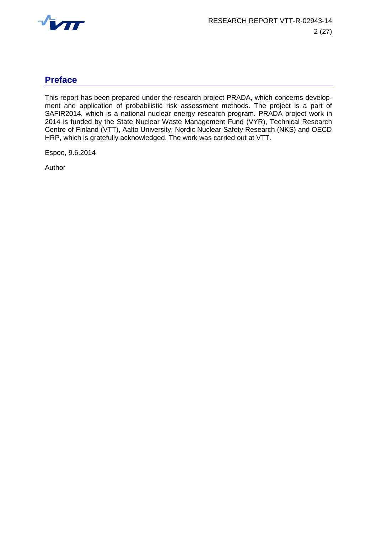

## **Preface**

This report has been prepared under the research project PRADA, which concerns development and application of probabilistic risk assessment methods. The project is a part of SAFIR2014, which is a national nuclear energy research program. PRADA project work in 2014 is funded by the State Nuclear Waste Management Fund (VYR), Technical Research Centre of Finland (VTT), Aalto University, Nordic Nuclear Safety Research (NKS) and OECD HRP, which is gratefully acknowledged. The work was carried out at VTT.

Espoo, 9.6.2014

Author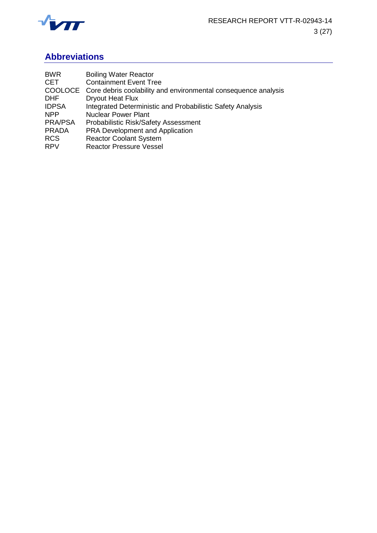

## **Abbreviations**

| <b>Nuclear Power Plant</b><br><b>NPP</b><br>PRA/PSA<br>Probabilistic Risk/Safety Assessment<br><b>PRA Development and Application</b><br><b>PRADA</b><br><b>Reactor Coolant System</b><br><b>RCS</b><br><b>Reactor Pressure Vessel</b><br><b>RPV</b> | <b>BWR</b><br><b>CET</b><br><b>DHF</b><br><b>IDPSA</b> | <b>Boiling Water Reactor</b><br><b>Containment Event Tree</b><br>COOLOCE Core debris coolability and environmental consequence analysis<br><b>Dryout Heat Flux</b><br>Integrated Deterministic and Probabilistic Safety Analysis |
|------------------------------------------------------------------------------------------------------------------------------------------------------------------------------------------------------------------------------------------------------|--------------------------------------------------------|----------------------------------------------------------------------------------------------------------------------------------------------------------------------------------------------------------------------------------|
|------------------------------------------------------------------------------------------------------------------------------------------------------------------------------------------------------------------------------------------------------|--------------------------------------------------------|----------------------------------------------------------------------------------------------------------------------------------------------------------------------------------------------------------------------------------|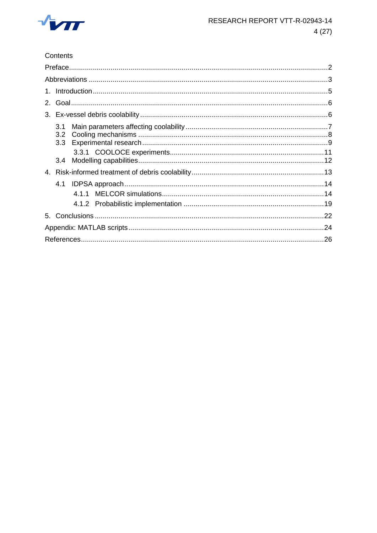

Contents

| 2. |                         |  |
|----|-------------------------|--|
|    |                         |  |
|    | 3.1<br>3.2 <sub>2</sub> |  |
|    |                         |  |
|    |                         |  |
|    | 4.1                     |  |
|    |                         |  |
|    |                         |  |
|    |                         |  |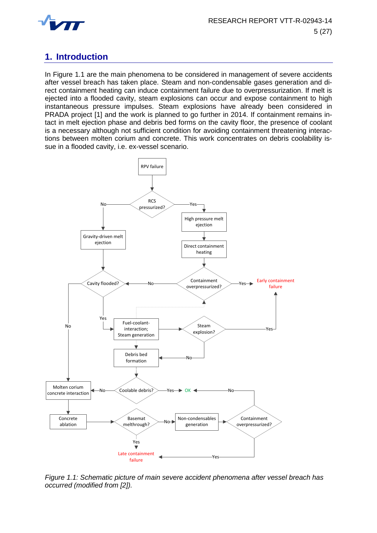

## **1. Introduction**

In [Figure 1.1](#page-8-0) are the main phenomena to be considered in management of severe accidents after vessel breach has taken place. Steam and non-condensable gases generation and direct containment heating can induce containment failure due to overpressurization. If melt is ejected into a flooded cavity, steam explosions can occur and expose containment to high instantaneous pressure impulses. Steam explosions have already been considered in PRADA project [1] and the work is planned to go further in 2014. If containment remains intact in melt ejection phase and debris bed forms on the cavity floor, the presence of coolant is a necessary although not sufficient condition for avoiding containment threatening interactions between molten corium and concrete. This work concentrates on debris coolability issue in a flooded cavity, i.e. ex-vessel scenario.



<span id="page-8-0"></span>*Figure 1.1: Schematic picture of main severe accident phenomena after vessel breach has occurred (modified from [2]).*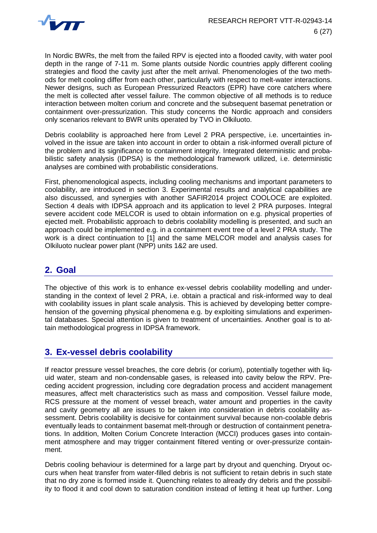

In Nordic BWRs, the melt from the failed RPV is ejected into a flooded cavity, with water pool depth in the range of 7-11 m. Some plants outside Nordic countries apply different cooling strategies and flood the cavity just after the melt arrival. Phenomenologies of the two methods for melt cooling differ from each other, particularly with respect to melt-water interactions. Newer designs, such as European Pressurized Reactors (EPR) have core catchers where the melt is collected after vessel failure. The common objective of all methods is to reduce interaction between molten corium and concrete and the subsequent basemat penetration or containment over-pressurization. This study concerns the Nordic approach and considers only scenarios relevant to BWR units operated by TVO in Olkiluoto.

Debris coolability is approached here from Level 2 PRA perspective, i.e. uncertainties involved in the issue are taken into account in order to obtain a risk-informed overall picture of the problem and its significance to containment integrity. Integrated deterministic and probabilistic safety analysis (IDPSA) is the methodological framework utilized, i.e. deterministic analyses are combined with probabilistic considerations.

First, phenomenological aspects, including cooling mechanisms and important parameters to coolability, are introduced in section [3.](#page-9-0) Experimental results and analytical capabilities are also discussed, and synergies with another SAFIR2014 project COOLOCE are exploited. Section [4](#page-16-0) deals with IDPSA approach and its application to level 2 PRA purposes. Integral severe accident code MELCOR is used to obtain information on e.g. physical properties of ejected melt. Probabilistic approach to debris coolability modelling is presented, and such an approach could be implemented e.g. in a containment event tree of a level 2 PRA study. The work is a direct continuation to [1] and the same MELCOR model and analysis cases for Olkiluoto nuclear power plant (NPP) units 1&2 are used.

## **2. Goal**

The objective of this work is to enhance ex-vessel debris coolability modelling and understanding in the context of level 2 PRA, i.e. obtain a practical and risk-informed way to deal with coolability issues in plant scale analysis. This is achieved by developing better comprehension of the governing physical phenomena e.g. by exploiting simulations and experimental databases. Special attention is given to treatment of uncertainties. Another goal is to attain methodological progress in IDPSA framework.

## <span id="page-9-0"></span>**3. Ex-vessel debris coolability**

If reactor pressure vessel breaches, the core debris (or corium), potentially together with liquid water, steam and non-condensable gases, is released into cavity below the RPV. Preceding accident progression, including core degradation process and accident management measures, affect melt characteristics such as mass and composition. Vessel failure mode, RCS pressure at the moment of vessel breach, water amount and properties in the cavity and cavity geometry all are issues to be taken into consideration in debris coolability assessment. Debris coolability is decisive for containment survival because non-coolable debris eventually leads to containment basemat melt-through or destruction of containment penetrations. In addition, Molten Corium Concrete Interaction (MCCI) produces gases into containment atmosphere and may trigger containment filtered venting or over-pressurize containment.

Debris cooling behaviour is determined for a large part by dryout and quenching. Dryout occurs when heat transfer from water-filled debris is not sufficient to retain debris in such state that no dry zone is formed inside it. Quenching relates to already dry debris and the possibility to flood it and cool down to saturation condition instead of letting it heat up further. Long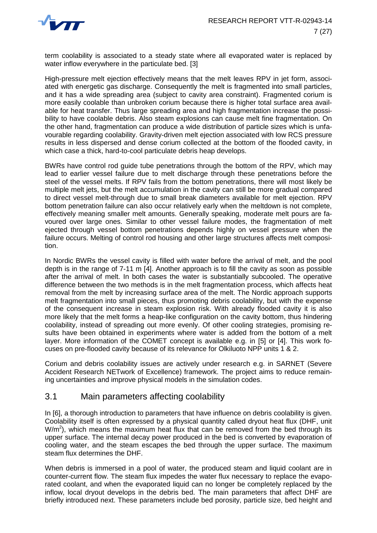

term coolability is associated to a steady state where all evaporated water is replaced by water inflow everywhere in the particulate bed. [3]

High-pressure melt ejection effectively means that the melt leaves RPV in jet form, associated with energetic gas discharge. Consequently the melt is fragmented into small particles, and it has a wide spreading area (subject to cavity area constraint). Fragmented corium is more easily coolable than unbroken corium because there is higher total surface area available for heat transfer. Thus large spreading area and high fragmentation increase the possibility to have coolable debris. Also steam explosions can cause melt fine fragmentation. On the other hand, fragmentation can produce a wide distribution of particle sizes which is unfavourable regarding coolability. Gravity-driven melt ejection associated with low RCS pressure results in less dispersed and dense corium collected at the bottom of the flooded cavity, in which case a thick, hard-to-cool particulate debris heap develops.

BWRs have control rod guide tube penetrations through the bottom of the RPV, which may lead to earlier vessel failure due to melt discharge through these penetrations before the steel of the vessel melts. If RPV fails from the bottom penetrations, there will most likely be multiple melt jets, but the melt accumulation in the cavity can still be more gradual compared to direct vessel melt-through due to small break diameters available for melt ejection. RPV bottom penetration failure can also occur relatively early when the meltdown is not complete, effectively meaning smaller melt amounts. Generally speaking, moderate melt pours are favoured over large ones. Similar to other vessel failure modes, the fragmentation of melt ejected through vessel bottom penetrations depends highly on vessel pressure when the failure occurs. Melting of control rod housing and other large structures affects melt composition.

In Nordic BWRs the vessel cavity is filled with water before the arrival of melt, and the pool depth is in the range of 7-11 m [4]. Another approach is to fill the cavity as soon as possible after the arrival of melt. In both cases the water is substantially subcooled. The operative difference between the two methods is in the melt fragmentation process, which affects heat removal from the melt by increasing surface area of the melt. The Nordic approach supports melt fragmentation into small pieces, thus promoting debris coolability, but with the expense of the consequent increase in steam explosion risk. With already flooded cavity it is also more likely that the melt forms a heap-like configuration on the cavity bottom, thus hindering coolability, instead of spreading out more evenly. Of other cooling strategies, promising results have been obtained in experiments where water is added from the bottom of a melt layer. More information of the COMET concept is available e.g. in [5] or [4]. This work focuses on pre-flooded cavity because of its relevance for Olkiluoto NPP units 1 & 2.

Corium and debris coolability issues are actively under research e.g. in SARNET (Severe Accident Research NETwork of Excellence) framework. The project aims to reduce remaining uncertainties and improve physical models in the simulation codes.

#### <span id="page-10-0"></span>3.1 Main parameters affecting coolability

In [6], a thorough introduction to parameters that have influence on debris coolability is given. Coolability itself is often expressed by a physical quantity called dryout heat flux (DHF, unit  $W/m<sup>2</sup>$ , which means the maximum heat flux that can be removed from the bed through its upper surface. The internal decay power produced in the bed is converted by evaporation of cooling water, and the steam escapes the bed through the upper surface. The maximum steam flux determines the DHF.

When debris is immersed in a pool of water, the produced steam and liquid coolant are in counter-current flow. The steam flux impedes the water flux necessary to replace the evaporated coolant, and when the evaporated liquid can no longer be completely replaced by the inflow, local dryout develops in the debris bed. The main parameters that affect DHF are briefly introduced next. These parameters include bed porosity, particle size, bed height and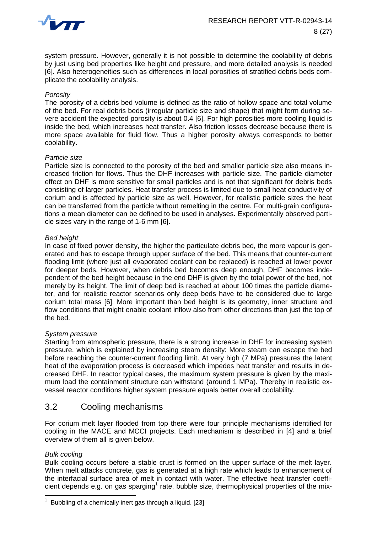

system pressure. However, generally it is not possible to determine the coolability of debris by just using bed properties like height and pressure, and more detailed analysis is needed [6]. Also heterogeneities such as differences in local porosities of stratified debris beds complicate the coolability analysis.

#### *Porosity*

The porosity of a debris bed volume is defined as the ratio of hollow space and total volume of the bed. For real debris beds (irregular particle size and shape) that might form during severe accident the expected porosity is about 0.4 [6]. For high porosities more cooling liquid is inside the bed, which increases heat transfer. Also friction losses decrease because there is more space available for fluid flow. Thus a higher porosity always corresponds to better coolability.

#### *Particle size*

Particle size is connected to the porosity of the bed and smaller particle size also means increased friction for flows. Thus the DHF increases with particle size. The particle diameter effect on DHF is more sensitive for small particles and is not that significant for debris beds consisting of larger particles. Heat transfer process is limited due to small heat conductivity of corium and is affected by particle size as well. However, for realistic particle sizes the heat can be transferred from the particle without remelting in the centre. For multi-grain configurations a mean diameter can be defined to be used in analyses. Experimentally observed particle sizes vary in the range of 1-6 mm [6].

#### *Bed height*

In case of fixed power density, the higher the particulate debris bed, the more vapour is generated and has to escape through upper surface of the bed. This means that counter-current flooding limit (where just all evaporated coolant can be replaced) is reached at lower power for deeper beds. However, when debris bed becomes deep enough, DHF becomes independent of the bed height because in the end DHF is given by the total power of the bed, not merely by its height. The limit of deep bed is reached at about 100 times the particle diameter, and for realistic reactor scenarios only deep beds have to be considered due to large corium total mass [6]. More important than bed height is its geometry, inner structure and flow conditions that might enable coolant inflow also from other directions than just the top of the bed.

#### *System pressure*

Starting from atmospheric pressure, there is a strong increase in DHF for increasing system pressure, which is explained by increasing steam density: More steam can escape the bed before reaching the counter-current flooding limit. At very high (7 MPa) pressures the latent heat of the evaporation process is decreased which impedes heat transfer and results in decreased DHF. In reactor typical cases, the maximum system pressure is given by the maximum load the containment structure can withstand (around 1 MPa). Thereby in realistic exvessel reactor conditions higher system pressure equals better overall coolability.

#### <span id="page-11-0"></span>3.2 Cooling mechanisms

For corium melt layer flooded from top there were four principle mechanisms identified for cooling in the MACE and MCCI projects. Each mechanism is described in [4] and a brief overview of them all is given below.

#### *Bulk cooling*

Bulk cooling occurs before a stable crust is formed on the upper surface of the melt layer. When melt attacks concrete, gas is generated at a high rate which leads to enhancement of the interfacial surface area of melt in contact with water. The effective heat transfer coefficient depends e.g. on gas sparging<sup>1</sup> rate, bubble size, thermophysical properties of the mix-

 1 Bubbling of a chemically inert gas through a liquid. [23]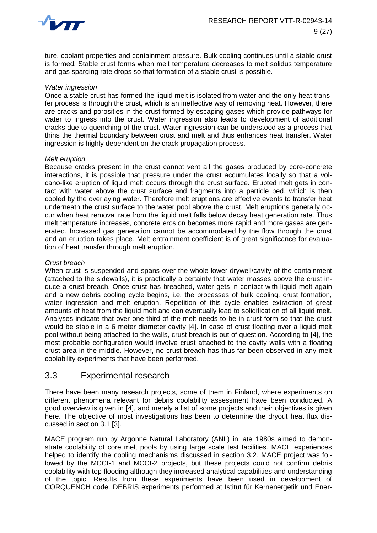

ture, coolant properties and containment pressure. Bulk cooling continues until a stable crust is formed. Stable crust forms when melt temperature decreases to melt solidus temperature and gas sparging rate drops so that formation of a stable crust is possible.

#### *Water ingression*

Once a stable crust has formed the liquid melt is isolated from water and the only heat transfer process is through the crust, which is an ineffective way of removing heat. However, there are cracks and porosities in the crust formed by escaping gases which provide pathways for water to ingress into the crust. Water ingression also leads to development of additional cracks due to quenching of the crust. Water ingression can be understood as a process that thins the thermal boundary between crust and melt and thus enhances heat transfer. Water ingression is highly dependent on the crack propagation process.

#### *Melt eruption*

Because cracks present in the crust cannot vent all the gases produced by core-concrete interactions, it is possible that pressure under the crust accumulates locally so that a volcano-like eruption of liquid melt occurs through the crust surface. Erupted melt gets in contact with water above the crust surface and fragments into a particle bed, which is then cooled by the overlaying water. Therefore melt eruptions are effective events to transfer heat underneath the crust surface to the water pool above the crust. Melt eruptions generally occur when heat removal rate from the liquid melt falls below decay heat generation rate. Thus melt temperature increases, concrete erosion becomes more rapid and more gases are generated. Increased gas generation cannot be accommodated by the flow through the crust and an eruption takes place. Melt entrainment coefficient is of great significance for evaluation of heat transfer through melt eruption.

#### *Crust breach*

When crust is suspended and spans over the whole lower drywell/cavity of the containment (attached to the sidewalls), it is practically a certainty that water masses above the crust induce a crust breach. Once crust has breached, water gets in contact with liquid melt again and a new debris cooling cycle begins, i.e. the processes of bulk cooling, crust formation, water ingression and melt eruption. Repetition of this cycle enables extraction of great amounts of heat from the liquid melt and can eventually lead to solidification of all liquid melt. Analyses indicate that over one third of the melt needs to be in crust form so that the crust would be stable in a 6 meter diameter cavity [4]. In case of crust floating over a liquid melt pool without being attached to the walls, crust breach is out of question. According to [4], the most probable configuration would involve crust attached to the cavity walls with a floating crust area in the middle. However, no crust breach has thus far been observed in any melt coolability experiments that have been performed.

#### <span id="page-12-0"></span>3.3 Experimental research

There have been many research projects, some of them in Finland, where experiments on different phenomena relevant for debris coolability assessment have been conducted. A good overview is given in [4], and merely a list of some projects and their objectives is given here. The objective of most investigations has been to determine the dryout heat flux discussed in section [3.1](#page-10-0) [3].

MACE program run by Argonne Natural Laboratory (ANL) in late 1980s aimed to demonstrate coolability of core melt pools by using large scale test facilities. MACE experiences helped to identify the cooling mechanisms discussed in section [3.2.](#page-11-0) MACE project was followed by the MCCI-1 and MCCI-2 projects, but these projects could not confirm debris coolability with top flooding although they increased analytical capabilities and understanding of the topic. Results from these experiments have been used in development of CORQUENCH code. DEBRIS experiments performed at Istitut für Kernenergetik und Ener-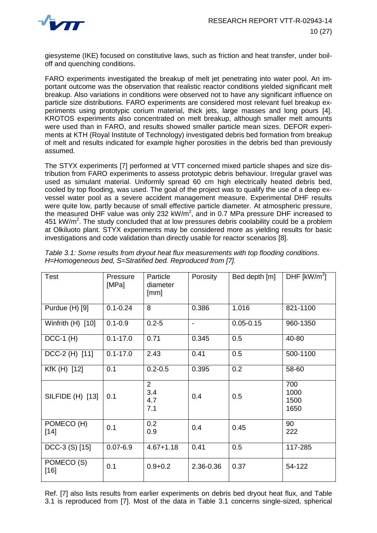

giesysteme (IKE) focused on constitutive laws, such as friction and heat transfer, under boiloff and quenching conditions.

FARO experiments investigated the breakup of melt jet penetrating into water pool. An important outcome was the observation that realistic reactor conditions yielded significant melt breakup. Also variations in conditions were observed not to have any significant influence on particle size distributions. FARO experiments are considered most relevant fuel breakup experiments using prototypic corium material, thick jets, large masses and long pours [4]. KROTOS experiments also concentrated on melt breakup, although smaller melt amounts were used than in FARO, and results showed smaller particle mean sizes. DEFOR experiments at KTH (Royal Institute of Technology) investigated debris bed formation from breakup of melt and results indicated for example higher porosities in the debris bed than previously assumed.

The STYX experiments [7] performed at VTT concerned mixed particle shapes and size distribution from FARO experiments to assess prototypic debris behaviour. Irregular gravel was used as simulant material. Uniformly spread 60 cm high electrically heated debris bed, cooled by top flooding, was used. The goal of the project was to qualify the use of a deep exvessel water pool as a severe accident management measure. Experimental DHF results were quite low, partly because of small effective particle diameter. At atmospheric pressure, the measured DHF value was only 232 kW/m<sup>2</sup>, and in 0.7 MPa pressure DHF increased to 451 kW/m<sup>2</sup>. The study concluded that at low pressures debris coolability could be a problem at Olkiluoto plant. STYX experiments may be considered more as yielding results for basic investigations and code validation than directly usable for reactor scenarios [8].

| Test                 | Pressure<br>[MPa] | Particle<br>diameter<br>[mm] | Porosity       | Bed depth [m] | DHF $[kW/m2]$               |
|----------------------|-------------------|------------------------------|----------------|---------------|-----------------------------|
| Purdue (H) [9]       | $0.1 - 0.24$      | 8                            | 0.386          | 1.016         | 821-1100                    |
| Winfrith $(H)$ [10]  | $0.1 - 0.9$       | $0.2 - 5$                    | $\blacksquare$ | $0.05 - 0.15$ | 960-1350                    |
| $DCC-1$ (H)          | $0.1 - 17.0$      | 0.71                         | 0.345          | 0.5           | 40-80                       |
| DCC-2 (H) [11]       | $0.1 - 17.0$      | 2.43                         | 0.41           | 0.5           | 500-1100                    |
| KfK (H) [12]         | 0.1               | $0.2 - 0.5$                  | 0.395          | 0.2           | 58-60                       |
| SILFIDE (H) [13]     | 0.1               | 2<br>3.4<br>4.7<br>7.1       | 0.4            | 0.5           | 700<br>1000<br>1500<br>1650 |
| POMECO (H)<br>$[14]$ | 0.1               | 0.2<br>0.9                   | 0.4            | 0.45          | 90<br>222                   |
| DCC-3 (S) [15]       | $0.07 - 6.9$      | $4.67 + 1.18$                | 0.41           | 0.5           | 117-285                     |
| POMECO (S)<br>$[16]$ | 0.1               | $0.9 + 0.2$                  | 2.36-0.36      | 0.37          | 54-122                      |

<span id="page-13-0"></span>*Table 3.1: Some results from dryout heat flux measurements with top flooding conditions. H=Homogeneous bed, S=Stratified bed. Reproduced from [7].*

Ref. [7] also lists results from earlier experiments on debris bed dryout heat flux, and [Table](#page-13-0)  [3.1](#page-13-0) is reproduced from [7]. Most of the data in [Table 3.1](#page-13-0) concerns single-sized, spherical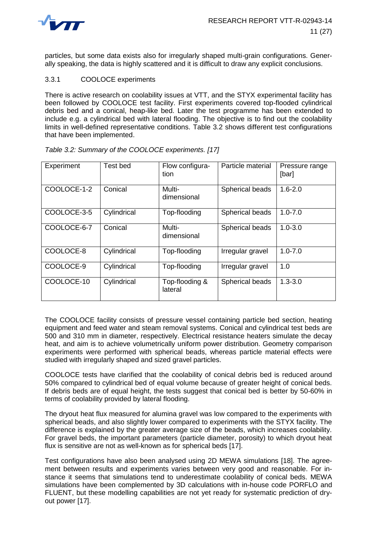

particles, but some data exists also for irregularly shaped multi-grain configurations. Generally speaking, the data is highly scattered and it is difficult to draw any explicit conclusions.

#### 3.3.1 COOLOCE experiments

There is active research on coolability issues at VTT, and the STYX experimental facility has been followed by COOLOCE test facility. First experiments covered top-flooded cylindrical debris bed and a conical, heap-like bed. Later the test programme has been extended to include e.g. a cylindrical bed with lateral flooding. The objective is to find out the coolability limits in well-defined representative conditions. [Table 3.2](#page-14-0) shows different test configurations that have been implemented.

| Experiment  | Test bed    | Flow configura-<br>tion   | Particle material | Pressure range<br>[bar] |
|-------------|-------------|---------------------------|-------------------|-------------------------|
| COOLOCE-1-2 | Conical     | Multi-<br>dimensional     | Spherical beads   | $1.6 - 2.0$             |
| COOLOCE-3-5 | Cylindrical | Top-flooding              | Spherical beads   | $1.0 - 7.0$             |
| COOLOCE-6-7 | Conical     | Multi-<br>dimensional     | Spherical beads   | $1.0 - 3.0$             |
| COOLOCE-8   | Cylindrical | Top-flooding              | Irregular gravel  | $1.0 - 7.0$             |
| COOLOCE-9   | Cylindrical | Top-flooding              | Irregular gravel  | 1.0                     |
| COOLOCE-10  | Cylindrical | Top-flooding &<br>lateral | Spherical beads   | $1.3 - 3.0$             |

#### <span id="page-14-0"></span>*Table 3.2: Summary of the COOLOCE experiments. [17]*

The COOLOCE facility consists of pressure vessel containing particle bed section, heating equipment and feed water and steam removal systems. Conical and cylindrical test beds are 500 and 310 mm in diameter, respectively. Electrical resistance heaters simulate the decay heat, and aim is to achieve volumetrically uniform power distribution. Geometry comparison experiments were performed with spherical beads, whereas particle material effects were studied with irregularly shaped and sized gravel particles.

COOLOCE tests have clarified that the coolability of conical debris bed is reduced around 50% compared to cylindrical bed of equal volume because of greater height of conical beds. If debris beds are of equal height, the tests suggest that conical bed is better by 50-60% in terms of coolability provided by lateral flooding.

The dryout heat flux measured for alumina gravel was low compared to the experiments with spherical beads, and also slightly lower compared to experiments with the STYX facility. The difference is explained by the greater average size of the beads, which increases coolability. For gravel beds, the important parameters (particle diameter, porosity) to which dryout heat flux is sensitive are not as well-known as for spherical beds [17].

Test configurations have also been analysed using 2D MEWA simulations [18]. The agreement between results and experiments varies between very good and reasonable. For instance it seems that simulations tend to underestimate coolability of conical beds. MEWA simulations have been complemented by 3D calculations with in-house code PORFLO and FLUENT, but these modelling capabilities are not yet ready for systematic prediction of dryout power [17].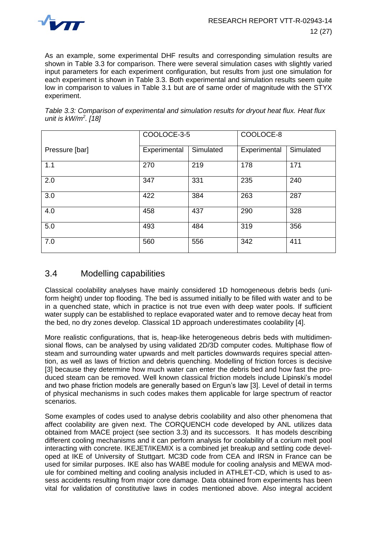

As an example, some experimental DHF results and corresponding simulation results are shown in [Table 3.3](#page-15-0) for comparison. There were several simulation cases with slightly varied input parameters for each experiment configuration, but results from just one simulation for each experiment is shown in [Table 3.3.](#page-15-0) Both experimental and simulation results seem quite low in comparison to values in [Table 3.1](#page-13-0) but are of same order of magnitude with the STYX experiment.

<span id="page-15-0"></span>

| Table 3.3: Comparison of experimental and simulation results for dryout heat flux. Heat flux |  |
|----------------------------------------------------------------------------------------------|--|
| unit is $kW/m^2$ . [18]                                                                      |  |

|                | COOLOCE-3-5  |           | COOLOCE-8    |           |
|----------------|--------------|-----------|--------------|-----------|
| Pressure [bar] | Experimental | Simulated | Experimental | Simulated |
| 1.1            | 270          | 219       | 178          | 171       |
| 2.0            | 347          | 331       | 235          | 240       |
| 3.0            | 422          | 384       | 263          | 287       |
| 4.0            | 458          | 437       | 290          | 328       |
| 5.0            | 493          | 484       | 319          | 356       |
| 7.0            | 560          | 556       | 342          | 411       |

## 3.4 Modelling capabilities

Classical coolability analyses have mainly considered 1D homogeneous debris beds (uniform height) under top flooding. The bed is assumed initially to be filled with water and to be in a quenched state, which in practice is not true even with deep water pools. If sufficient water supply can be established to replace evaporated water and to remove decay heat from the bed, no dry zones develop. Classical 1D approach underestimates coolability [4].

More realistic configurations, that is, heap-like heterogeneous debris beds with multidimensional flows, can be analysed by using validated 2D/3D computer codes. Multiphase flow of steam and surrounding water upwards and melt particles downwards requires special attention, as well as laws of friction and debris quenching. Modelling of friction forces is decisive [3] because they determine how much water can enter the debris bed and how fast the produced steam can be removed. Well known classical friction models include Lipinski's model and two phase friction models are generally based on Ergun's law [3]. Level of detail in terms of physical mechanisms in such codes makes them applicable for large spectrum of reactor scenarios.

Some examples of codes used to analyse debris coolability and also other phenomena that affect coolability are given next. The CORQUENCH code developed by ANL utilizes data obtained from MACE project (see section [3.3\)](#page-12-0) and its successors. It has models describing different cooling mechanisms and it can perform analysis for coolability of a corium melt pool interacting with concrete. IKEJET/IKEMIX is a combined jet breakup and settling code developed at IKE of University of Stuttgart. MC3D code from CEA and IRSN in France can be used for similar purposes. IKE also has WABE module for cooling analysis and MEWA module for combined melting and cooling analysis included in ATHLET-CD, which is used to assess accidents resulting from major core damage. Data obtained from experiments has been vital for validation of constitutive laws in codes mentioned above. Also integral accident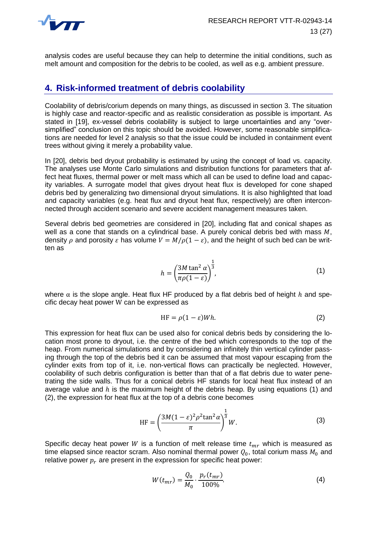

analysis codes are useful because they can help to determine the initial conditions, such as melt amount and composition for the debris to be cooled, as well as e.g. ambient pressure.

## <span id="page-16-0"></span>**4. Risk-informed treatment of debris coolability**

Coolability of debris/corium depends on many things, as discussed in section [3.](#page-9-0) The situation is highly case and reactor-specific and as realistic consideration as possible is important. As stated in [19], ex-vessel debris coolability is subject to large uncertainties and any "oversimplified" conclusion on this topic should be avoided. However, some reasonable simplifications are needed for level 2 analysis so that the issue could be included in containment event trees without giving it merely a probability value.

In [20], debris bed dryout probability is estimated by using the concept of load vs. capacity. The analyses use Monte Carlo simulations and distribution functions for parameters that affect heat fluxes, thermal power or melt mass which all can be used to define load and capacity variables. A surrogate model that gives dryout heat flux is developed for cone shaped debris bed by generalizing two dimensional dryout simulations. It is also highlighted that load and capacity variables (e.g. heat flux and dryout heat flux, respectively) are often interconnected through accident scenario and severe accident management measures taken.

Several debris bed geometries are considered in [20], including flat and conical shapes as well as a cone that stands on a cylindrical base. A purely conical debris bed with mass  $M$ , density  $\rho$  and porosity  $\varepsilon$  has volume  $V = M/\rho(1-\varepsilon)$ , and the height of such bed can be written as

<span id="page-16-1"></span>
$$
h = \left(\frac{3M \tan^2 \alpha}{\pi \rho (1 - \varepsilon)}\right)^{\frac{1}{3}},\tag{1}
$$

where  $\alpha$  is the slope angle. Heat flux HF produced by a flat debris bed of height h and specific decay heat power W can be expressed as

<span id="page-16-2"></span>
$$
HF = \rho(1 - \varepsilon)Wh. \tag{2}
$$

This expression for heat flux can be used also for conical debris beds by considering the location most prone to dryout, i.e. the centre of the bed which corresponds to the top of the heap. From numerical simulations and by considering an infinitely thin vertical cylinder passing through the top of the debris bed it can be assumed that most vapour escaping from the cylinder exits from top of it, i.e. non-vertical flows can practically be neglected. However, coolability of such debris configuration is better than that of a flat debris due to water penetrating the side walls. Thus for a conical debris HF stands for local heat flux instead of an average value and  $h$  is the maximum height of the debris heap. By using equations [\(1\)](#page-16-1) and [\(2\),](#page-16-2) the expression for heat flux at the top of a debris cone becomes

$$
HF = \left(\frac{3M(1-\varepsilon)^2 \rho^2 \tan^2 \alpha}{\pi}\right)^{\frac{1}{3}} W.
$$
 (3)

Specific decay heat power W is a function of melt release time  $t_{mr}$  which is measured as time elapsed since reactor scram. Also nominal thermal power  $Q_0$ , total corium mass  $M_0$  and relative power  $p_r$  are present in the expression for specific heat power:

<span id="page-16-3"></span>
$$
W(t_{mr}) = \frac{Q_0}{M_0} \cdot \frac{p_r(t_{mr})}{100\%}.
$$
 (4)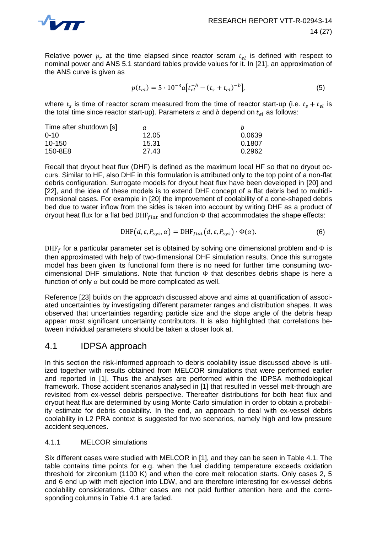

Relative power  $p_r$  at the time elapsed since reactor scram  $t_{el}$  is defined with respect to nominal power and ANS 5.1 standard tables provide values for it. In [21], an approximation of the ANS curve is given as

<span id="page-17-0"></span>
$$
p(t_{el}) = 5 \cdot 10^{-3} a \left[ t_{el}^{-b} - (t_s + t_{el})^{-b} \right],\tag{5}
$$

where  $t_s$  is time of reactor scram measured from the time of reactor start-up (i.e.  $t_s + t_{el}$  is the total time since reactor start-up). Parameters  $a$  and  $b$  depend on  $t_{el}$  as follows:

| Time after shutdown [s] | а     |        |
|-------------------------|-------|--------|
| $0 - 10$                | 12.05 | 0.0639 |
| $10 - 150$              | 15.31 | 0.1807 |
| 150-8E8                 | 27.43 | 0.2962 |

Recall that dryout heat flux (DHF) is defined as the maximum local HF so that no dryout occurs. Similar to HF, also DHF in this formulation is attributed only to the top point of a non-flat debris configuration. Surrogate models for dryout heat flux have been developed in [20] and [22], and the idea of these models is to extend DHF concept of a flat debris bed to multidimensional cases. For example in [20] the improvement of coolability of a cone-shaped debris bed due to water inflow from the sides is taken into account by writing DHF as a product of dryout heat flux for a flat bed DHF $_{flat}$  and function  $\Phi$  that accommodates the shape effects:

$$
DHF(d, \varepsilon, P_{\text{sys}}, \alpha) = DHF_{flat}(d, \varepsilon, P_{\text{sys}}) \cdot \Phi(\alpha). \tag{6}
$$

DHF<sub>f</sub> for a particular parameter set is obtained by solving one dimensional problem and  $\Phi$  is then approximated with help of two-dimensional DHF simulation results. Once this surrogate model has been given its functional form there is no need for further time consuming twodimensional DHF simulations. Note that function  $\Phi$  that describes debris shape is here a function of only  $\alpha$  but could be more complicated as well.

Reference [23] builds on the approach discussed above and aims at quantification of associated uncertainties by investigating different parameter ranges and distribution shapes. It was observed that uncertainties regarding particle size and the slope angle of the debris heap appear most significant uncertainty contributors. It is also highlighted that correlations between individual parameters should be taken a closer look at.

## 4.1 IDPSA approach

In this section the risk-informed approach to debris coolability issue discussed above is utilized together with results obtained from MELCOR simulations that were performed earlier and reported in [1]. Thus the analyses are performed within the IDPSA methodological framework. Those accident scenarios analysed in [1] that resulted in vessel melt-through are revisited from ex-vessel debris perspective. Thereafter distributions for both heat flux and dryout heat flux are determined by using Monte Carlo simulation in order to obtain a probability estimate for debris coolability. In the end, an approach to deal with ex-vessel debris coolability in L2 PRA context is suggested for two scenarios, namely high and low pressure accident sequences.

#### 4.1.1 MELCOR simulations

Six different cases were studied with MELCOR in [1], and they can be seen in [Table 4.1.](#page-18-0) The table contains time points for e.g. when the fuel cladding temperature exceeds oxidation threshold for zirconium (1100 K) and when the core melt relocation starts. Only cases 2, 5 and 6 end up with melt ejection into LDW, and are therefore interesting for ex-vessel debris coolability considerations. Other cases are not paid further attention here and the corresponding columns in [Table 4.1](#page-18-0) are faded.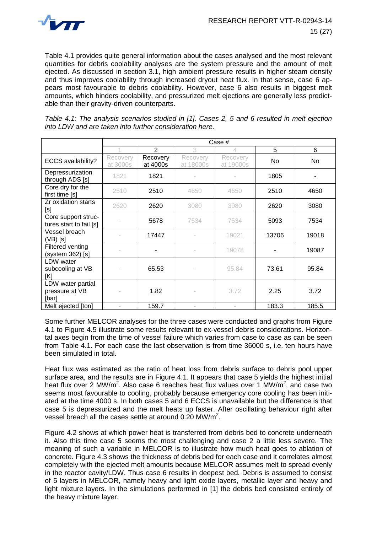

[Table 4.1](#page-18-0) provides quite general information about the cases analysed and the most relevant quantities for debris coolability analyses are the system pressure and the amount of melt ejected. As discussed in section [3.1,](#page-10-0) high ambient pressure results in higher steam density and thus improves coolability through increased dryout heat flux. In that sense, case 6 appears most favourable to debris coolability. However, case 6 also results in biggest melt amounts, which hinders coolability, and pressurized melt ejections are generally less predictable than their gravity-driven counterparts.

<span id="page-18-0"></span>*Table 4.1: The analysis scenarios studied in [1]. Cases 2, 5 and 6 resulted in melt ejection into LDW and are taken into further consideration here.*

|                                                | Case #               |                      |                       |                       |       |       |
|------------------------------------------------|----------------------|----------------------|-----------------------|-----------------------|-------|-------|
|                                                |                      | 2                    | 3                     | 4                     | 5     | 6     |
| ECCS availability?                             | Recovery<br>at 3000s | Recovery<br>at 4000s | Recovery<br>at 18000s | Recovery<br>at 19000s | No.   | No    |
| Depressurization<br>through ADS [s]            | 1821                 | 1821                 |                       |                       | 1805  |       |
| Core dry for the<br>first time [s]             | 2510                 | 2510                 | 4650                  | 4650                  | 2510  | 4650  |
| Zr oxidation starts<br>[s]                     | 2620                 | 2620                 | 3080                  | 3080                  | 2620  | 3080  |
| Core support struc-<br>tures start to fail [s] |                      | 5678                 | 7534                  | 7534                  | 5093  | 7534  |
| Vessel breach<br>(VB) [s]                      |                      | 17447                |                       | 19021                 | 13706 | 19018 |
| Filtered venting<br>(system 362) [s]           |                      |                      |                       | 19078                 |       | 19087 |
| <b>LDW</b> water<br>subcooling at VB<br>[K]    |                      | 65.53                |                       | 95.84                 | 73.61 | 95.84 |
| LDW water partial<br>pressure at VB<br>[bar]   |                      | 1.82                 |                       | 3.72                  | 2.25  | 3.72  |
| Melt ejected [ton]                             |                      | 159.7                |                       |                       | 183.3 | 185.5 |

Some further MELCOR analyses for the three cases were conducted and graphs from [Figure](#page-19-0)  [4.1](#page-19-0) to [Figure 4.5](#page-21-0) illustrate some results relevant to ex-vessel debris considerations. Horizontal axes begin from the time of vessel failure which varies from case to case as can be seen from [Table 4.1.](#page-18-0) For each case the last observation is from time 36000 s, i.e. ten hours have been simulated in total.

Heat flux was estimated as the ratio of heat loss from debris surface to debris pool upper surface area, and the results are in [Figure 4.1.](#page-19-0) It appears that case 5 yields the highest initial heat flux over 2 MW/m<sup>2</sup>. Also case 6 reaches heat flux values over 1 MW/m<sup>2</sup>, and case two seems most favourable to cooling, probably because emergency core cooling has been initiated at the time 4000 s. In both cases 5 and 6 ECCS is unavailable but the difference is that case 5 is depressurized and the melt heats up faster. After oscillating behaviour right after vessel breach all the cases settle at around 0.20 MW/m<sup>2</sup>.

[Figure 4.2](#page-19-1) shows at which power heat is transferred from debris bed to concrete underneath it. Also this time case 5 seems the most challenging and case 2 a little less severe. The meaning of such a variable in MELCOR is to illustrate how much heat goes to ablation of concrete. [Figure 4.3](#page-20-0) shows the thickness of debris bed for each case and it correlates almost completely with the ejected melt amounts because MELCOR assumes melt to spread evenly in the reactor cavity/LDW. Thus case 6 results in deepest bed. Debris is assumed to consist of 5 layers in MELCOR, namely heavy and light oxide layers, metallic layer and heavy and light mixture layers. In the simulations performed in [1] the debris bed consisted entirely of the heavy mixture layer.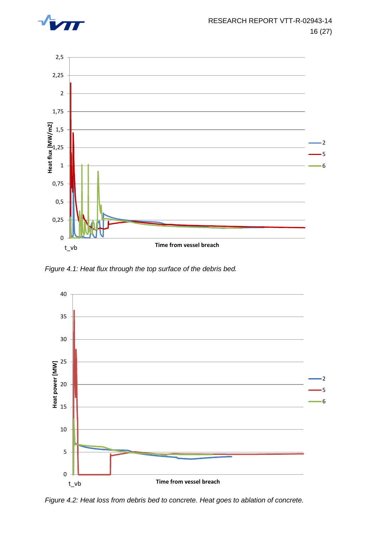



<span id="page-19-0"></span>*Figure 4.1: Heat flux through the top surface of the debris bed.* 



<span id="page-19-1"></span>*Figure 4.2: Heat loss from debris bed to concrete. Heat goes to ablation of concrete.*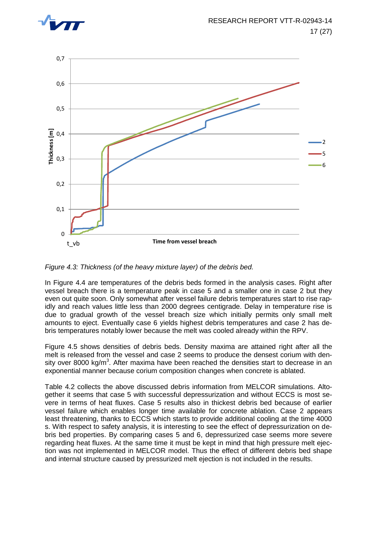



<span id="page-20-0"></span>*Figure 4.3: Thickness (of the heavy mixture layer) of the debris bed.*

In [Figure 4.4](#page-21-1) are temperatures of the debris beds formed in the analysis cases. Right after vessel breach there is a temperature peak in case 5 and a smaller one in case 2 but they even out quite soon. Only somewhat after vessel failure debris temperatures start to rise rapidly and reach values little less than 2000 degrees centigrade. Delay in temperature rise is due to gradual growth of the vessel breach size which initially permits only small melt amounts to eject. Eventually case 6 yields highest debris temperatures and case 2 has debris temperatures notably lower because the melt was cooled already within the RPV.

[Figure 4.5](#page-21-0) shows densities of debris beds. Density maxima are attained right after all the melt is released from the vessel and case 2 seems to produce the densest corium with density over 8000 kg/m<sup>3</sup>. After maxima have been reached the densities start to decrease in an exponential manner because corium composition changes when concrete is ablated.

[Table 4.2](#page-22-0) collects the above discussed debris information from MELCOR simulations. Altogether it seems that case 5 with successful depressurization and without ECCS is most severe in terms of heat fluxes. Case 5 results also in thickest debris bed because of earlier vessel failure which enables longer time available for concrete ablation. Case 2 appears least threatening, thanks to ECCS which starts to provide additional cooling at the time 4000 s. With respect to safety analysis, it is interesting to see the effect of depressurization on debris bed properties. By comparing cases 5 and 6, depressurized case seems more severe regarding heat fluxes. At the same time it must be kept in mind that high pressure melt ejection was not implemented in MELCOR model. Thus the effect of different debris bed shape and internal structure caused by pressurized melt ejection is not included in the results.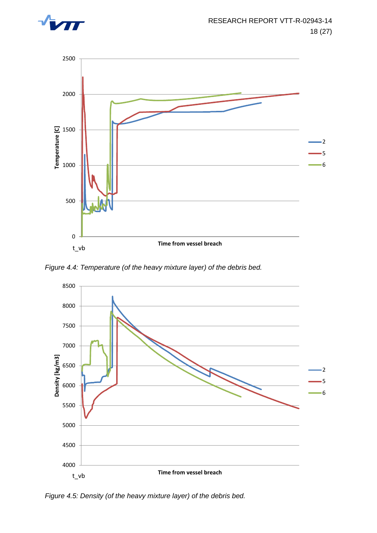



<span id="page-21-1"></span>*Figure 4.4: Temperature (of the heavy mixture layer) of the debris bed.* 



<span id="page-21-0"></span>*Figure 4.5: Density (of the heavy mixture layer) of the debris bed.*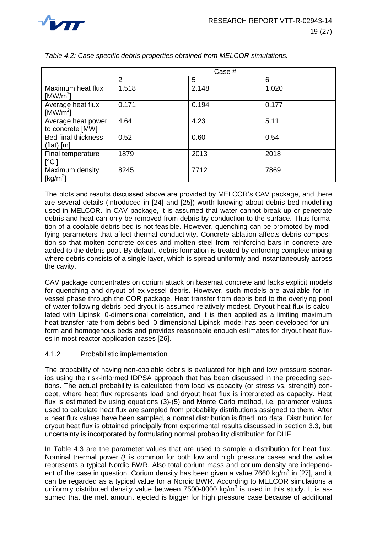

|                                            | Case # |       |       |
|--------------------------------------------|--------|-------|-------|
|                                            | 2      | 5     | 6     |
| Maximum heat flux<br>[MW/m <sup>2</sup> ]  | 1.518  | 2.148 | 1.020 |
| Average heat flux<br>[MW/m <sup>2</sup> ]  | 0.171  | 0.194 | 0.177 |
| Average heat power<br>to concrete [MW]     | 4.64   | 4.23  | 5.11  |
| <b>Bed final thickness</b><br>$(flat)$ [m] | 0.52   | 0.60  | 0.54  |
| Final temperature<br>$\lceil$ °C l         | 1879   | 2013  | 2018  |
| Maximum density<br>[ $kg/m3$ ]             | 8245   | 7712  | 7869  |

<span id="page-22-0"></span>*Table 4.2: Case specific debris properties obtained from MELCOR simulations.* 

The plots and results discussed above are provided by MELCOR's CAV package, and there are several details (introduced in [24] and [25]) worth knowing about debris bed modelling used in MELCOR. In CAV package, it is assumed that water cannot break up or penetrate debris and heat can only be removed from debris by conduction to the surface. Thus formation of a coolable debris bed is not feasible. However, quenching can be promoted by modifying parameters that affect thermal conductivity. Concrete ablation affects debris composition so that molten concrete oxides and molten steel from reinforcing bars in concrete are added to the debris pool. By default, debris formation is treated by enforcing complete mixing where debris consists of a single layer, which is spread uniformly and instantaneously across the cavity.

CAV package concentrates on corium attack on basemat concrete and lacks explicit models for quenching and dryout of ex-vessel debris. However, such models are available for invessel phase through the COR package. Heat transfer from debris bed to the overlying pool of water following debris bed dryout is assumed relatively modest. Dryout heat flux is calculated with Lipinski 0-dimensional correlation, and it is then applied as a limiting maximum heat transfer rate from debris bed. 0-dimensional Lipinski model has been developed for uniform and homogenous beds and provides reasonable enough estimates for dryout heat fluxes in most reactor application cases [26].

#### 4.1.2 Probabilistic implementation

The probability of having non-coolable debris is evaluated for high and low pressure scenarios using the risk-informed IDPSA approach that has been discussed in the preceding sections. The actual probability is calculated from load vs capacity (or stress vs. strength) concept, where heat flux represents load and dryout heat flux is interpreted as capacity. Heat flux is estimated by using equations [\(3\)](#page-16-3)[-\(5\)](#page-17-0) and Monte Carlo method, i.e. parameter values used to calculate heat flux are sampled from probability distributions assigned to them. After  $n$  heat flux values have been sampled, a normal distribution is fitted into data. Distribution for dryout heat flux is obtained principally from experimental results discussed in section [3.3,](#page-12-0) but uncertainty is incorporated by formulating normal probability distribution for DHF.

In [Table 4.3](#page-23-0) are the parameter values that are used to sample a distribution for heat flux. Nominal thermal power  $Q$  is common for both low and high pressure cases and the value represents a typical Nordic BWR. Also total corium mass and corium density are independent of the case in question. Corium density has been given a value 7660 kg/m<sup>3</sup> in [27], and it can be regarded as a typical value for a Nordic BWR. According to MELCOR simulations a uniformly distributed density value between 7500-8000 kg/m<sup>3</sup> is used in this study. It is assumed that the melt amount ejected is bigger for high pressure case because of additional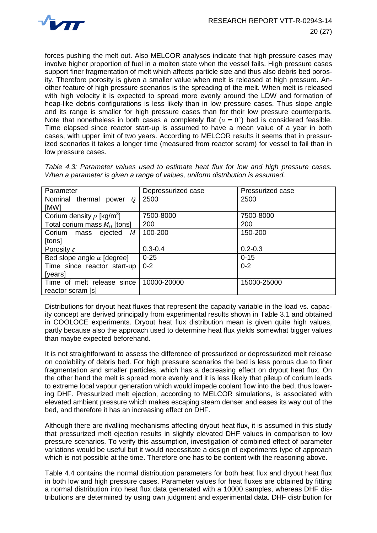

forces pushing the melt out. Also MELCOR analyses indicate that high pressure cases may involve higher proportion of fuel in a molten state when the vessel fails. High pressure cases support finer fragmentation of melt which affects particle size and thus also debris bed porosity. Therefore porosity is given a smaller value when melt is released at high pressure. Another feature of high pressure scenarios is the spreading of the melt. When melt is released with high velocity it is expected to spread more evenly around the LDW and formation of heap-like debris configurations is less likely than in low pressure cases. Thus slope angle and its range is smaller for high pressure cases than for their low pressure counterparts. Note that nonetheless in both cases a completely flat ( $\alpha = 0^{\circ}$ ) bed is considered feasible. Time elapsed since reactor start-up is assumed to have a mean value of a year in both cases, with upper limit of two years. According to MELCOR results it seems that in pressurized scenarios it takes a longer time (measured from reactor scram) for vessel to fail than in low pressure cases.

| Parameter                                  | Depressurized case | Pressurized case |
|--------------------------------------------|--------------------|------------------|
| Nominal thermal<br>power<br>0              | 2500               | 2500             |
| [MW]                                       |                    |                  |
| Corium density $\rho$ [kg/m <sup>3</sup> ] | 7500-8000          | 7500-8000        |
| Total corium mass $M_0$ [tons]             | 200                | 200              |
| M<br>Corium<br>ejected<br>mass             | 100-200            | 150-200          |
| [tons]                                     |                    |                  |
| Porosity $\varepsilon$                     | $0.3 - 0.4$        | $0.2 - 0.3$      |
| Bed slope angle $\alpha$ [degree]          | $0 - 25$           | $0 - 15$         |
| Time since reactor start-up                | $0 - 2$            | $0 - 2$          |
| [years]                                    |                    |                  |
| Time of melt release since                 | 10000-20000        | 15000-25000      |
| reactor scram [s]                          |                    |                  |

<span id="page-23-0"></span>*Table 4.3: Parameter values used to estimate heat flux for low and high pressure cases. When a parameter is given a range of values, uniform distribution is assumed.* 

Distributions for dryout heat fluxes that represent the capacity variable in the load vs. capacity concept are derived principally from experimental results shown in [Table 3.1](#page-13-0) and obtained in COOLOCE experiments. Dryout heat flux distribution mean is given quite high values, partly because also the approach used to determine heat flux yields somewhat bigger values than maybe expected beforehand.

It is not straightforward to assess the difference of pressurized or depressurized melt release on coolability of debris bed. For high pressure scenarios the bed is less porous due to finer fragmentation and smaller particles, which has a decreasing effect on dryout heat flux. On the other hand the melt is spread more evenly and it is less likely that pileup of corium leads to extreme local vapour generation which would impede coolant flow into the bed, thus lowering DHF. Pressurized melt ejection, according to MELCOR simulations, is associated with elevated ambient pressure which makes escaping steam denser and eases its way out of the bed, and therefore it has an increasing effect on DHF.

Although there are rivalling mechanisms affecting dryout heat flux, it is assumed in this study that pressurized melt ejection results in slightly elevated DHF values in comparison to low pressure scenarios. To verify this assumption, investigation of combined effect of parameter variations would be useful but it would necessitate a design of experiments type of approach which is not possible at the time. Therefore one has to be content with the reasoning above.

[Table 4.4](#page-24-0) contains the normal distribution parameters for both heat flux and dryout heat flux in both low and high pressure cases. Parameter values for heat fluxes are obtained by fitting a normal distribution into heat flux data generated with a 10000 samples, whereas DHF distributions are determined by using own judgment and experimental data. DHF distribution for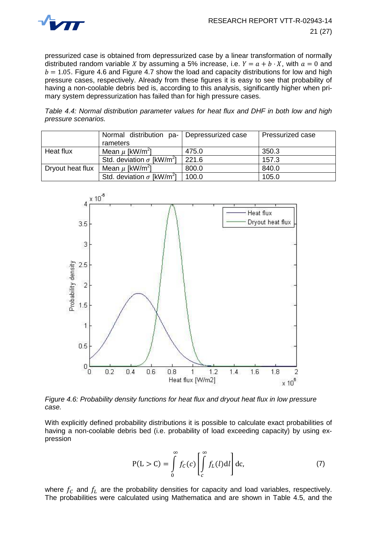

pressurized case is obtained from depressurized case by a linear transformation of normally distributed random variable X by assuming a 5% increase, i.e.  $Y = a + b \cdot X$ , with  $a = 0$  and  $b = 1.05$ . [Figure 4.6](#page-24-1) and [Figure 4.7](#page-25-0) show the load and capacity distributions for low and high pressure cases, respectively. Already from these figures it is easy to see that probability of having a non-coolable debris bed is, according to this analysis, significantly higher when primary system depressurization has failed than for high pressure cases.

<span id="page-24-0"></span>*Table 4.4: Normal distribution parameter values for heat flux and DHF in both low and high pressure scenarios.*

|                  | Normal distribution pa-                      | Depressurized case | <b>Pressurized case</b> |
|------------------|----------------------------------------------|--------------------|-------------------------|
|                  | rameters                                     |                    |                         |
| Heat flux        | Mean $\mu$ [kW/m <sup>2</sup> ]              | 475.0              | 350.3                   |
|                  | Std. deviation $\sigma$ [kW/m <sup>2</sup> ] | 221.6              | 157.3                   |
| Dryout heat flux | Mean $\mu$ [kW/m <sup>2</sup> ]              | 800.0              | 840.0                   |
|                  | Std. deviation $\sigma$ [kW/m <sup>2</sup> ] | 100.0              | 105.0                   |



<span id="page-24-1"></span>*Figure 4.6: Probability density functions for heat flux and dryout heat flux in low pressure case.* 

With explicitly defined probability distributions it is possible to calculate exact probabilities of having a non-coolable debris bed (i.e. probability of load exceeding capacity) by using expression

<span id="page-24-2"></span>
$$
P(L > C) = \int_{0}^{\infty} f_C(c) \left[ \int_{c}^{\infty} f_L(l) dl \right] dc,
$$
 (7)

where  $f_c$  and  $f<sub>L</sub>$  are the probability densities for capacity and load variables, respectively. The probabilities were calculated using Mathematica and are shown in [Table 4.5,](#page-25-1) and the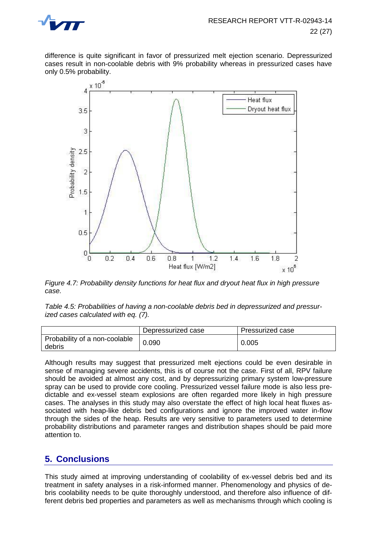

difference is quite significant in favor of pressurized melt ejection scenario. Depressurized cases result in non-coolable debris with 9% probability whereas in pressurized cases have only 0.5% probability.



<span id="page-25-0"></span>*Figure 4.7: Probability density functions for heat flux and dryout heat flux in high pressure case.*

<span id="page-25-1"></span>*Table 4.5: Probabilities of having a non-coolable debris bed in depressurized and pressurized cases calculated with eq. [\(7\).](#page-24-2)*

|                                         | Depressurized case | Pressurized case |
|-----------------------------------------|--------------------|------------------|
| Probability of a non-coolable<br>debris | 0.090              | 0.005            |

Although results may suggest that pressurized melt ejections could be even desirable in sense of managing severe accidents, this is of course not the case. First of all, RPV failure should be avoided at almost any cost, and by depressurizing primary system low-pressure spray can be used to provide core cooling. Pressurized vessel failure mode is also less predictable and ex-vessel steam explosions are often regarded more likely in high pressure cases. The analyses in this study may also overstate the effect of high local heat fluxes associated with heap-like debris bed configurations and ignore the improved water in-flow through the sides of the heap. Results are very sensitive to parameters used to determine probability distributions and parameter ranges and distribution shapes should be paid more attention to.

## **5. Conclusions**

This study aimed at improving understanding of coolability of ex-vessel debris bed and its treatment in safety analyses in a risk-informed manner. Phenomenology and physics of debris coolability needs to be quite thoroughly understood, and therefore also influence of different debris bed properties and parameters as well as mechanisms through which cooling is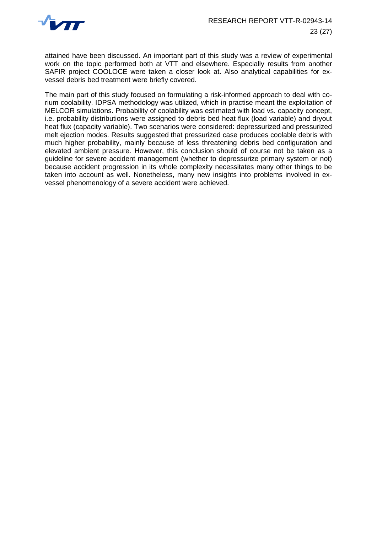

attained have been discussed. An important part of this study was a review of experimental work on the topic performed both at VTT and elsewhere. Especially results from another SAFIR project COOLOCE were taken a closer look at. Also analytical capabilities for exvessel debris bed treatment were briefly covered.

The main part of this study focused on formulating a risk-informed approach to deal with corium coolability. IDPSA methodology was utilized, which in practise meant the exploitation of MELCOR simulations. Probability of coolability was estimated with load vs. capacity concept, i.e. probability distributions were assigned to debris bed heat flux (load variable) and dryout heat flux (capacity variable). Two scenarios were considered: depressurized and pressurized melt ejection modes. Results suggested that pressurized case produces coolable debris with much higher probability, mainly because of less threatening debris bed configuration and elevated ambient pressure. However, this conclusion should of course not be taken as a guideline for severe accident management (whether to depressurize primary system or not) because accident progression in its whole complexity necessitates many other things to be taken into account as well. Nonetheless, many new insights into problems involved in exvessel phenomenology of a severe accident were achieved.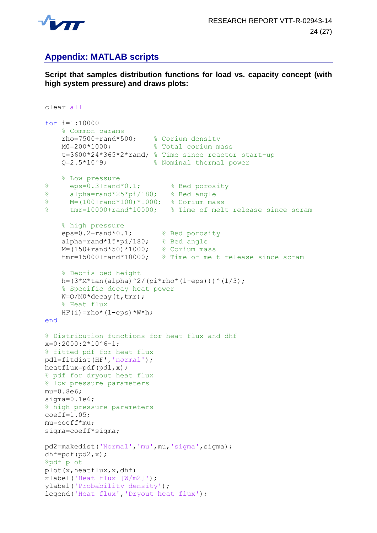

## **Appendix: MATLAB scripts**

**Script that samples distribution functions for load vs. capacity concept (with high system pressure) and draws plots:**

```
clear all
for i=1:10000 
     % Common params
rho=7500+rand*500; % Corium density
M0=200*1000; 8 Total corium mass
     t=3600*24*365*2*rand; % Time since reactor start-up
    Q=2.5*10^9; 8 Nominal thermal power
    % Low pressure
% eps=0.3+rand*0.1; % Bed porosity
% alpha=rand*25*pi/180; % Bed angle
% M=(100+rand*100)*1000; % Corium mass
% tmr=10000+rand*10000; % Time of melt release since scram 
     % high pressure
     eps=0.2+rand*0.1; % Bed porosity
 alpha=rand*15*pi/180; % Bed angle
 M=(150+rand*50)*1000; % Corium mass
     tmr=15000+rand*10000; % Time of melt release since scram
     % Debris bed height
   h = (3*M*tan(alpha)<sup>^2</sup>/(pi*rho*(1-eps)))^(1/3);
     % Specific decay heat power
    W=Q/M0*decay(t,tmr);
     % Heat flux
    HF(i)=rho*(1-eps)*W*h;end
% Distribution functions for heat flux and dhf 
x=0:2000:2*10^6-1;
% fitted pdf for heat flux
pd1=fitdist(HF','normal');
heatflux=pdf(pd1,x);
% pdf for dryout heat flux
% low pressure parameters
mu=0.8e6;
sigma=0.1e6;
% high pressure parameters
coeff=1.05;mu=coeff*mu;
sigma=coeff*sigma;
pd2=makedist('Normal','mu',mu,'sigma',sigma);
dhf=pdf(pd2,x);
%pdf plot
plot(x,heatflux,x,dhf)
xlabel('Heat flux [W/m2]');
ylabel('Probability density');
legend('Heat flux','Dryout heat flux');
```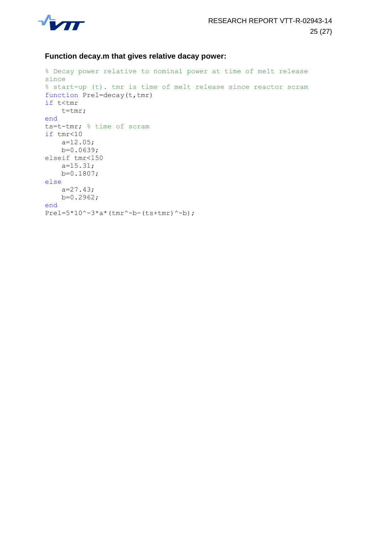

#### **Function decay.m that gives relative dacay power:**

```
% Decay power relative to nominal power at time of melt release 
since 
% start-up (t). tmr is time of melt release since reactor scram
function Prel=decay(t,tmr)
if t<tmr
     t=tmr;
end
ts=t-tmr; % time of scram
if tmr<10
     a=12.05;
     b=0.0639;
elseif tmr<150
     a=15.31;
     b=0.1807;
else
     a=27.43;
     b=0.2962;
end
Prel=5*10^{\degree}-3*a* (tmr^{\degree}-b-(ts+tmr)^{\degree}-b);
```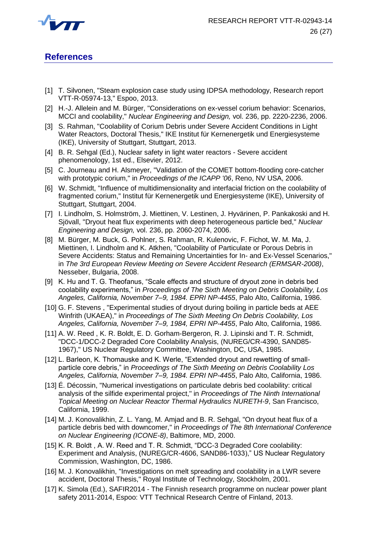

## **References**

- [1] T. Silvonen, "Steam explosion case study using IDPSA methodology, Research report VTT-R-05974-13," Espoo, 2013.
- [2] H.-J. Allelein and M. Bürger, "Considerations on ex-vessel corium behavior: Scenarios, MCCI and coolability," *Nuclear Engineering and Design,* vol. 236, pp. 2220-2236, 2006.
- [3] S. Rahman, "Coolability of Corium Debris under Severe Accident Conditions in Light Water Reactors, Doctoral Thesis," IKE Institut für Kernenergetik und Energiesysteme (IKE), University of Stuttgart, Stuttgart, 2013.
- [4] B. R. Sehgal (Ed.), Nuclear safety in light water reactors Severe accident phenomenology, 1st ed., Elsevier, 2012.
- [5] C. Journeau and H. Alsmeyer, "Validation of the COMET bottom-flooding core-catcher with prototypic corium," in *Proceedings of the ICAPP '06*, Reno, NV USA, 2006.
- [6] W. Schmidt, "Influence of multidimensionality and interfacial friction on the coolability of fragmented corium," Institut für Kernenergetik und Energiesysteme (IKE), University of Stuttgart, Stuttgart, 2004.
- [7] I. Lindholm, S. Holmström, J. Miettinen, V. Lestinen, J. Hyvärinen, P. Pankakoski and H. Sjövall, "Dryout heat flux experiments with deep heterogeneous particle bed," *Nuclear Engineering and Design,* vol. 236, pp. 2060-2074, 2006.
- [8] M. Bürger, M. Buck, G. Pohlner, S. Rahman, R. Kulenovic, F. Fichot, W. M. Ma, J. Miettinen, I. Lindholm and K. Atkhen, "Coolability of Particulate or Porous Debris in Severe Accidents: Status and Remaining Uncertainties for In- and Ex-Vessel Scenarios," in *The 3rd European Review Meeting on Severe Accident Research (ERMSAR-2008)*, Nesseber, Bulgaria, 2008.
- [9] K. Hu and T. G. Theofanus, "Scale effects and structure of dryout zone in debris bed coolability experiments," in *Proceedings of The Sixth Meeting on Debris Coolability, Los Angeles, California, November 7–9, 1984. EPRI NP-4455*, Palo Alto, California, 1986.
- [10] G. F. Stevens , "Experimental studies of dryout during boiling in particle beds at AEE Winfrith (UKAEA)," in *Proceedings of The Sixth Meeting On Debris Coolability, Los Angeles, California, November 7–9, 1984, EPRI NP-4455*, Palo Alto, California, 1986.
- [11] A. W. Reed, K. R. Boldt, E. D. Gorham-Bergeron, R. J. Lipinski and T. R. Schmidt, "DCC-1/DCC-2 Degraded Core Coolability Analysis, (NUREG/CR-4390, SAND85- 1967)," US Nuclear Regulatory Committee, Washington, DC, USA, 1985.
- [12] L. Barleon, K. Thomauske and K. Werle, "Extended dryout and rewetting of smallparticle core debris," in *Proceedings of The Sixth Meeting on Debris Coolability Los Angeles, California, November 7–9, 1984. EPRI NP-4455*, Palo Alto, California, 1986.
- [13] É. Décossin, "Numerical investigations on particulate debris bed coolability: critical analysis of the silfide experimental project," in *Proceedings of The Ninth International Topical Meeting on Nuclear Reactor Thermal Hydraulics NURETH-9*, San Francisco, California, 1999.
- [14] M. J. Konovalikhin, Z. L. Yang, M. Amjad and B. R. Sehgal, "On dryout heat flux of a particle debris bed with downcomer," in *Proceedings of The 8th International Conference on Nuclear Engineering (ICONE-8)*, Baltimore, MD, 2000.
- [15] K. R. Boldt, A. W. Reed and T. R. Schmidt, "DCC-3 Degraded Core coolability: Experiment and Analysis, (NUREG/CR-4606, SAND86-1033)," US Nuclear Regulatory Commission, Washington, DC, 1986.
- [16] M. J. Konovalikhin, "Investigations on melt spreading and coolability in a LWR severe accident, Doctoral Thesis," Royal Institute of Technology, Stockholm, 2001.
- [17] K. Simola (Ed.), SAFIR2014 The Finnish research programme on nuclear power plant safety 2011-2014, Espoo: VTT Technical Research Centre of Finland, 2013.